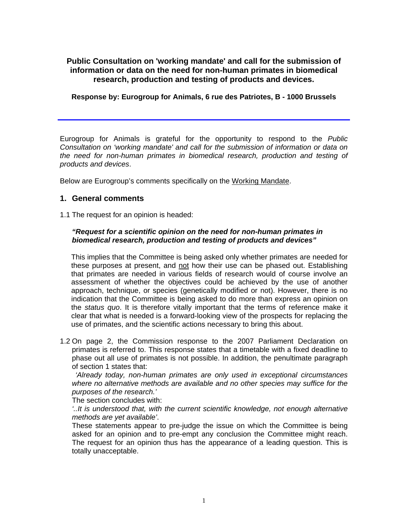# **Public Consultation on 'working mandate' and call for the submission of information or data on the need for non-human primates in biomedical research, production and testing of products and devices.**

## **Response by: Eurogroup for Animals, 6 rue des Patriotes, B - 1000 Brussels**

Eurogroup for Animals is grateful for the opportunity to respond to the *Public Consultation on 'working mandate' and call for the submission of information or data on the need for non-human primates in biomedical research, production and testing of products and devices*.

Below are Eurogroup's comments specifically on the Working Mandate.

## **1. General comments**

1.1 The request for an opinion is headed:

## *"Request for a scientific opinion on the need for non-human primates in biomedical research, production and testing of products and devices"*

This implies that the Committee is being asked only whether primates are needed for these purposes at present, and not how their use can be phased out. Establishing that primates are needed in various fields of research would of course involve an assessment of whether the objectives could be achieved by the use of another approach, technique, or species (genetically modified or not). However, there is no indication that the Committee is being asked to do more than express an opinion on the *status quo*. It is therefore vitally important that the terms of reference make it clear that what is needed is a forward-looking view of the prospects for replacing the use of primates, and the scientific actions necessary to bring this about.

1.2 On page 2, the Commission response to the 2007 Parliament Declaration on primates is referred to. This response states that a timetable with a fixed deadline to phase out all use of primates is not possible. In addition, the penultimate paragraph of section 1 states that:

*'Already today, non-human primates are only used in exceptional circumstances where no alternative methods are available and no other species may suffice for the purposes of the research.'*

The section concludes with:

*'..It is understood that, with the current scientific knowledge, not enough alternative methods are yet available'*.

These statements appear to pre-judge the issue on which the Committee is being asked for an opinion and to pre-empt any conclusion the Committee might reach. The request for an opinion thus has the appearance of a leading question. This is totally unacceptable.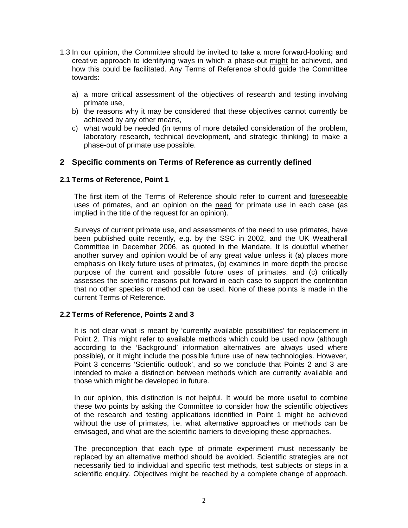- 1.3 In our opinion, the Committee should be invited to take a more forward-looking and creative approach to identifying ways in which a phase-out might be achieved, and how this could be facilitated. Any Terms of Reference should guide the Committee towards:
	- a) a more critical assessment of the objectives of research and testing involving primate use,
	- b) the reasons why it may be considered that these objectives cannot currently be achieved by any other means,
	- c) what would be needed (in terms of more detailed consideration of the problem, laboratory research, technical development, and strategic thinking) to make a phase-out of primate use possible.

## **2 Specific comments on Terms of Reference as currently defined**

## **2.1 Terms of Reference, Point 1**

The first item of the Terms of Reference should refer to current and foreseeable uses of primates, and an opinion on the need for primate use in each case (as implied in the title of the request for an opinion).

Surveys of current primate use, and assessments of the need to use primates, have been published quite recently, e.g. by the SSC in 2002, and the UK Weatherall Committee in December 2006, as quoted in the Mandate. It is doubtful whether another survey and opinion would be of any great value unless it (a) places more emphasis on likely future uses of primates, (b) examines in more depth the precise purpose of the current and possible future uses of primates, and (c) critically assesses the scientific reasons put forward in each case to support the contention that no other species or method can be used. None of these points is made in the current Terms of Reference.

### **2.2 Terms of Reference, Points 2 and 3**

It is not clear what is meant by 'currently available possibilities' for replacement in Point 2. This might refer to available methods which could be used now (although according to the 'Background' information alternatives are always used where possible), or it might include the possible future use of new technologies. However, Point 3 concerns 'Scientific outlook', and so we conclude that Points 2 and 3 are intended to make a distinction between methods which are currently available and those which might be developed in future.

In our opinion, this distinction is not helpful. It would be more useful to combine these two points by asking the Committee to consider how the scientific objectives of the research and testing applications identified in Point 1 might be achieved without the use of primates, i.e. what alternative approaches or methods can be envisaged, and what are the scientific barriers to developing these approaches.

The preconception that each type of primate experiment must necessarily be replaced by an alternative method should be avoided. Scientific strategies are not necessarily tied to individual and specific test methods, test subjects or steps in a scientific enquiry. Objectives might be reached by a complete change of approach.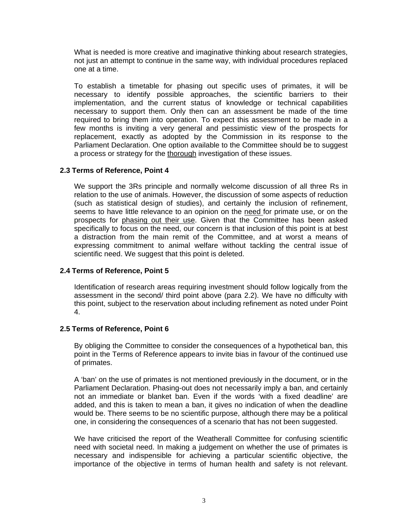What is needed is more creative and imaginative thinking about research strategies, not just an attempt to continue in the same way, with individual procedures replaced one at a time.

To establish a timetable for phasing out specific uses of primates, it will be necessary to identify possible approaches, the scientific barriers to their implementation, and the current status of knowledge or technical capabilities necessary to support them. Only then can an assessment be made of the time required to bring them into operation. To expect this assessment to be made in a few months is inviting a very general and pessimistic view of the prospects for replacement, exactly as adopted by the Commission in its response to the Parliament Declaration. One option available to the Committee should be to suggest a process or strategy for the thorough investigation of these issues.

## **2.3 Terms of Reference, Point 4**

We support the 3Rs principle and normally welcome discussion of all three Rs in relation to the use of animals. However, the discussion of some aspects of reduction (such as statistical design of studies), and certainly the inclusion of refinement, seems to have little relevance to an opinion on the need for primate use, or on the prospects for phasing out their use. Given that the Committee has been asked specifically to focus on the need, our concern is that inclusion of this point is at best a distraction from the main remit of the Committee, and at worst a means of expressing commitment to animal welfare without tackling the central issue of scientific need. We suggest that this point is deleted.

### **2.4 Terms of Reference, Point 5**

Identification of research areas requiring investment should follow logically from the assessment in the second/ third point above (para 2.2). We have no difficulty with this point, subject to the reservation about including refinement as noted under Point 4.

### **2.5 Terms of Reference, Point 6**

By obliging the Committee to consider the consequences of a hypothetical ban, this point in the Terms of Reference appears to invite bias in favour of the continued use of primates.

A 'ban' on the use of primates is not mentioned previously in the document, or in the Parliament Declaration. Phasing-out does not necessarily imply a ban, and certainly not an immediate or blanket ban. Even if the words 'with a fixed deadline' are added, and this is taken to mean a ban, it gives no indication of when the deadline would be. There seems to be no scientific purpose, although there may be a political one, in considering the consequences of a scenario that has not been suggested.

We have criticised the report of the Weatherall Committee for confusing scientific need with societal need. In making a judgement on whether the use of primates is necessary and indispensible for achieving a particular scientific objective, the importance of the objective in terms of human health and safety is not relevant.